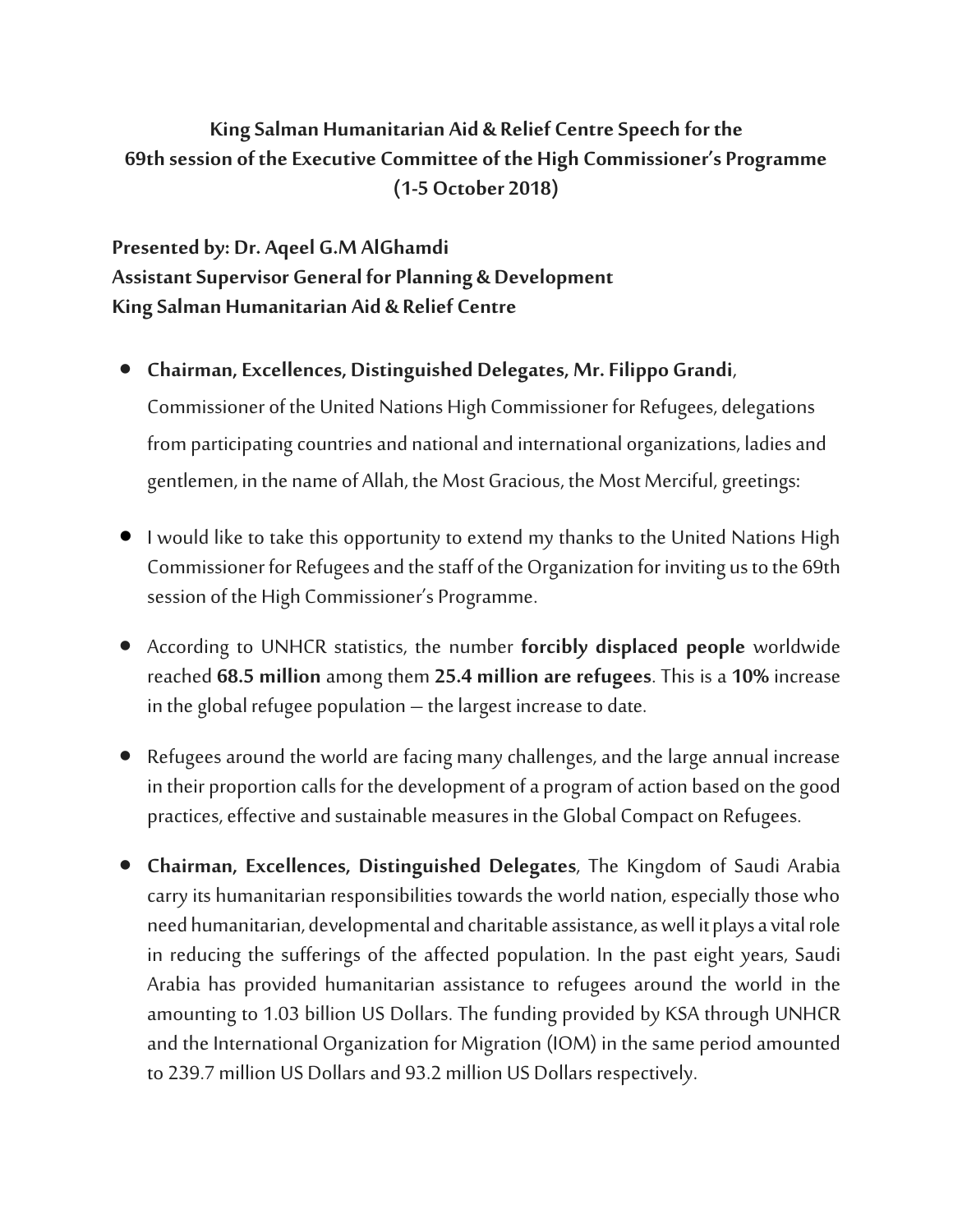## **King Salman Humanitarian Aid & Relief CentreSpeech for the 69th session of the Executive Committee of the High Commissioner's Programme (1-5 October 2018)**

## **Presented by: Dr. Aqeel G.M AlGhamdi Assistant Supervisor General for Planning & Development King Salman Humanitarian Aid & Relief Centre**

- **Chairman, Excellences, Distinguished Delegates, Mr. Filippo Grandi**, Commissioner of the United Nations High Commissioner for Refugees, delegations fromparticipating countries and national and international organizations, ladies and gentlemen, in the name of Allah, the Most Gracious, the Most Merciful, greetings:
- I would like to take this opportunity to extend my thanks to the United Nations High Commissioner for Refugees and the staff of the Organization for inviting us to the 69th session of the High Commissioner's Programme.
- According to UNHCR statistics, the number **forcibly displaced people** worldwide reached **68.5 million** among them **25.4 million are refugees**. This is a **10%** increase in the global refugee population – the largest increase to date.
- Refugees around the world are facing many challenges, and the large annual increase in their proportion calls for the development of a program of action based on the good practices, effective and sustainable measures in the Global Compact on Refugees.
- **Chairman, Excellences, Distinguished Delegates**, The Kingdom of Saudi Arabia carry its humanitarian responsibilities towards the world nation, especially those who need humanitarian, developmental and charitable assistance, as well it plays a vital role in reducing the sufferings of the affected population. In the past eight years, Saudi Arabia has provided humanitarian assistance to refugees around the world in the amounting to 1.03 billion US Dollars. The funding provided by KSA through UNHCR and the International Organization for Migration (IOM) in the same period amounted to 239.7 million US Dollars and 93.2 million US Dollars respectively.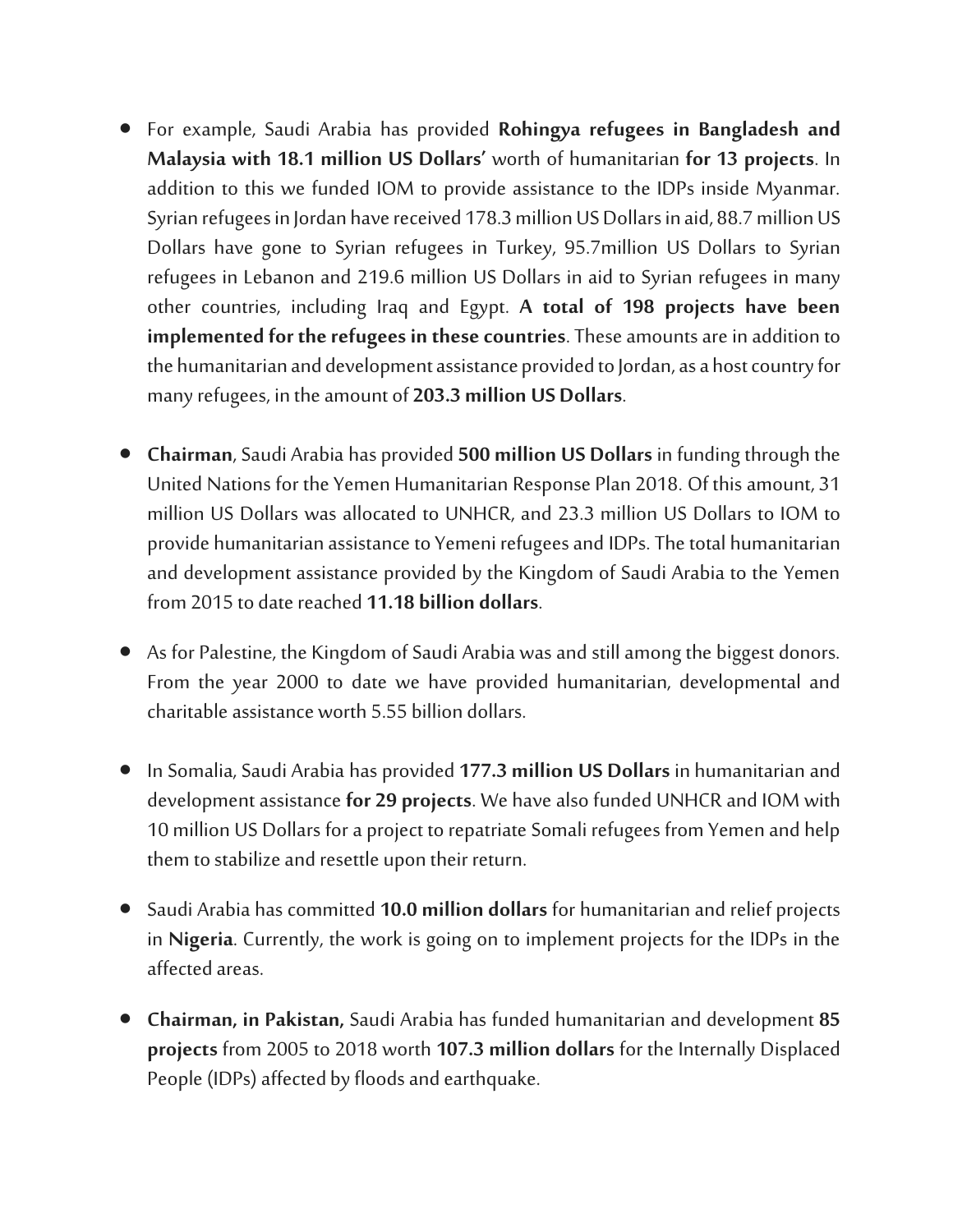- For example, Saudi Arabia has provided **Rohingya refugees in Bangladesh and Malaysia with 18.1 million US Dollars'** worth of humanitarian **for 13 projects**. In addition to this we funded IOM to provide assistance to the IDPs inside Myanmar. Syrian refugees in Jordan have received 178.3 million US Dollars in aid, 88.7 million US Dollars have gone to Syrian refugees in Turkey, 95.7million US Dollars to Syrian refugees in Lebanon and 219.6 million US Dollars in aid to Syrian refugees in many other countries, including Iraq and Egypt. **A total of 198 projects have been implemented** for the refugees in these countries. These amounts are in addition to the humanitarian and development assistance provided to Jordan, as a host country for many refugees, in the amount of **203.3 million US Dollars**.
- **Chairman**, Saudi Arabia has provided **500 million US Dollars** in funding through the United Nations for the Yemen Humanitarian Response Plan 2018. Of this amount, 31 million US Dollars was allocated to UNHCR, and 23.3 million US Dollars to IOM to provide humanitarian assistance to Yemeni refugees and IDPs.The total humanitarian and development assistance provided by the Kingdom of Saudi Arabia to the Yemen from 2015 to date reached **11.18 billion dollars**.
- As for Palestine, the Kingdom of Saudi Arabia was and still among the biggest donors. From the year 2000 to date we have provided humanitarian, developmental and charitable assistance worth 5.55 billion dollars.
- In Somalia, Saudi Arabia has provided **177.3 million US Dollars** in humanitarian and development assistance**for 29 projects**. We have also funded UNHCR and IOM with 10 million US Dollars for a project to repatriate Somali refugees from Yemen and help them to stabilize and resettle upon their return.
- Saudi Arabia has committed **10.0 million dollars** for humanitarian and relief projects in **Nigeria**. Currently, the work is going on to implement projects for the IDPs in the affected areas.
- **Chairman, in Pakistan,** Saudi Arabia has funded humanitarian and development **85 projects** from 2005 to 2018 worth **107.3 million dollars** for the Internally Displaced People (IDPs) affected by floods and earthquake.